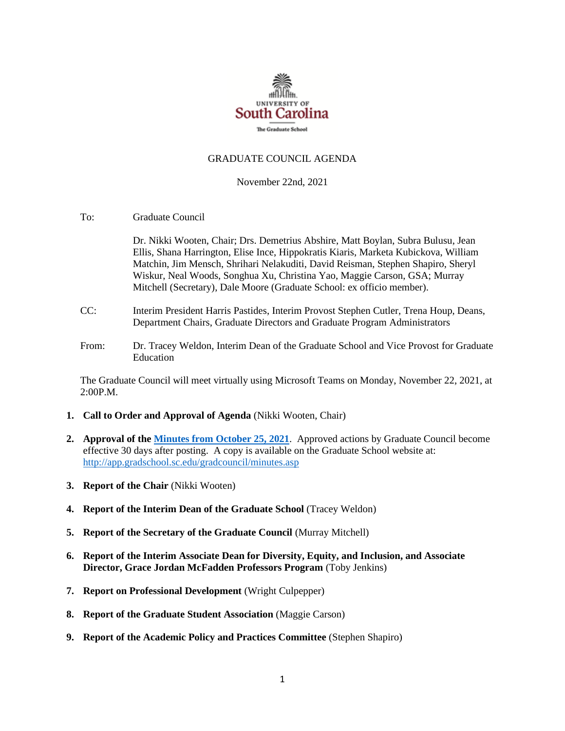

#### GRADUATE COUNCIL AGENDA

#### November 22nd, 2021

To: Graduate Council

Dr. Nikki Wooten, Chair; Drs. Demetrius Abshire, Matt Boylan, Subra Bulusu, Jean Ellis, Shana Harrington, Elise Ince, Hippokratis Kiaris, Marketa Kubickova, William Matchin, Jim Mensch, Shrihari Nelakuditi, David Reisman, Stephen Shapiro, Sheryl Wiskur, Neal Woods, Songhua Xu, Christina Yao, Maggie Carson, GSA; Murray Mitchell (Secretary), Dale Moore (Graduate School: ex officio member).

- CC: Interim President Harris Pastides, Interim Provost Stephen Cutler, Trena Houp, Deans, Department Chairs, Graduate Directors and Graduate Program Administrators
- From: Dr. Tracey Weldon, Interim Dean of the Graduate School and Vice Provost for Graduate Education

The Graduate Council will meet virtually using Microsoft Teams on Monday, November 22, 2021, at 2:00P.M.

- **1. Call to Order and Approval of Agenda** (Nikki Wooten, Chair)
- **2. Approval of th[e Minutes from October](MMGCMINUTES10.25.21%20w%204%20attachments.pdf) 25, 2021**. Approved actions by Graduate Council become effective 30 days after posting. A copy is available on the Graduate School website at: <http://app.gradschool.sc.edu/gradcouncil/minutes.asp>
- **3. Report of the Chair** (Nikki Wooten)
- **4. Report of the Interim Dean of the Graduate School** (Tracey Weldon)
- **5. Report of the Secretary of the Graduate Council** (Murray Mitchell)
- **6. Report of the Interim Associate Dean for Diversity, Equity, and Inclusion, and Associate Director, Grace Jordan McFadden Professors Program** (Toby Jenkins)
- **7. Report on Professional Development** (Wright Culpepper)
- **8. Report of the Graduate Student Association** (Maggie Carson)
- **9. Report of the Academic Policy and Practices Committee** (Stephen Shapiro)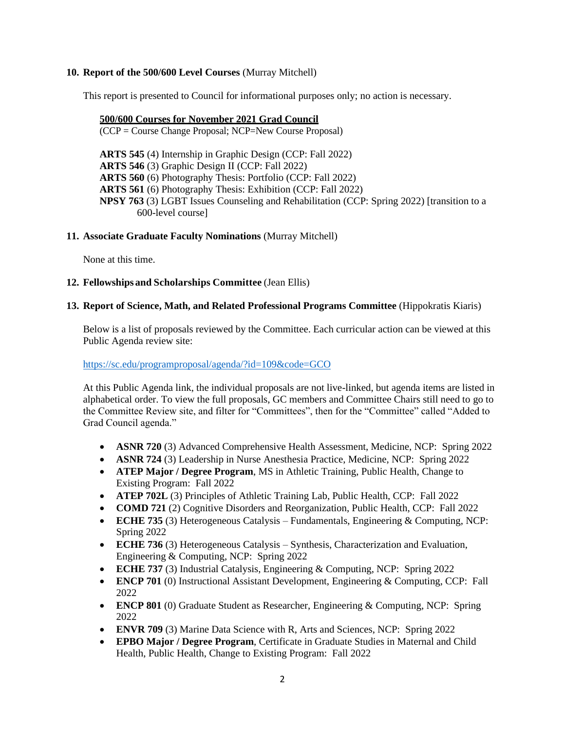# **10. Report of the 500/600 Level Courses** (Murray Mitchell)

This report is presented to Council for informational purposes only; no action is necessary.

#### **500/600 Courses for November 2021 Grad Council**

(CCP = Course Change Proposal; NCP=New Course Proposal)

**ARTS 545** (4) Internship in Graphic Design (CCP: Fall 2022) **ARTS 546** (3) Graphic Design II (CCP: Fall 2022) **ARTS 560** (6) Photography Thesis: Portfolio (CCP: Fall 2022) **ARTS 561** (6) Photography Thesis: Exhibition (CCP: Fall 2022) **NPSY 763** (3) LGBT Issues Counseling and Rehabilitation (CCP: Spring 2022) [transition to a 600-level course]

# **11. Associate Graduate Faculty Nominations** (Murray Mitchell)

None at this time.

# **12. Fellowships and Scholarships Committee** (Jean Ellis)

#### **13. Report of Science, Math, and Related Professional Programs Committee** (Hippokratis Kiaris)

Below is a list of proposals reviewed by the Committee. Each curricular action can be viewed at this Public Agenda review site:

<https://sc.edu/programproposal/agenda/?id=109&code=GCO>

At this Public Agenda link, the individual proposals are not live-linked, but agenda items are listed in alphabetical order. To view the full proposals, GC members and Committee Chairs still need to go to the Committee Review site, and filter for "Committees", then for the "Committee" called "Added to Grad Council agenda."

- **ASNR 720** (3) Advanced Comprehensive Health Assessment, Medicine, NCP: Spring 2022
- **ASNR 724** (3) Leadership in Nurse Anesthesia Practice, Medicine, NCP: Spring 2022
- **ATEP Major / Degree Program**, MS in Athletic Training, Public Health, Change to Existing Program: Fall 2022
- **ATEP 702L** (3) Principles of Athletic Training Lab, Public Health, CCP: Fall 2022
- **COMD 721** (2) Cognitive Disorders and Reorganization, Public Health, CCP: Fall 2022
- **ECHE 735** (3) Heterogeneous Catalysis Fundamentals, Engineering & Computing, NCP: Spring 2022
- **ECHE 736** (3) Heterogeneous Catalysis Synthesis, Characterization and Evaluation, Engineering & Computing, NCP: Spring 2022
- **ECHE 737** (3) Industrial Catalysis, Engineering & Computing, NCP: Spring 2022
- **ENCP 701** (0) Instructional Assistant Development, Engineering & Computing, CCP: Fall 2022
- **ENCP 801** (0) Graduate Student as Researcher, Engineering & Computing, NCP: Spring 2022
- **ENVR 709** (3) Marine Data Science with R, Arts and Sciences, NCP: Spring 2022
- **EPBO Major / Degree Program**, Certificate in Graduate Studies in Maternal and Child Health, Public Health, Change to Existing Program: Fall 2022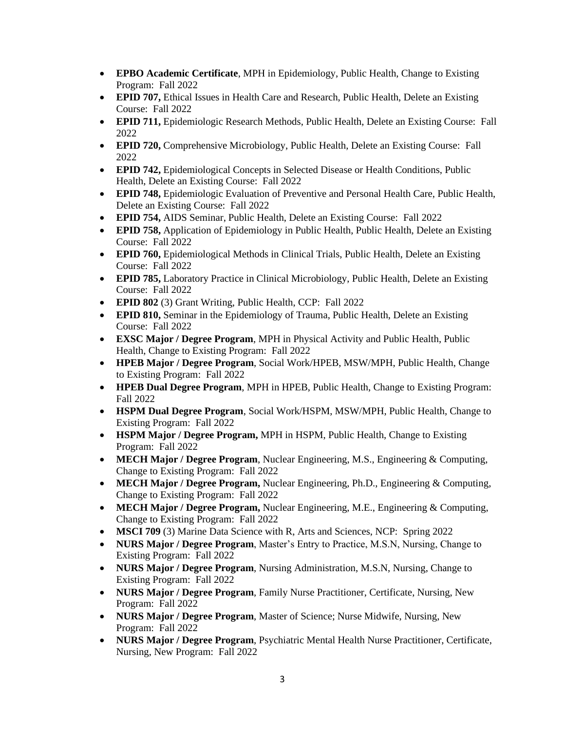- **EPBO Academic Certificate**, MPH in Epidemiology, Public Health, Change to Existing Program: Fall 2022
- **EPID 707, Ethical Issues in Health Care and Research, Public Health, Delete an Existing** Course: Fall 2022
- **EPID 711,** Epidemiologic Research Methods, Public Health, Delete an Existing Course: Fall 2022
- **EPID 720, Comprehensive Microbiology, Public Health, Delete an Existing Course: Fall** 2022
- **EPID 742,** Epidemiological Concepts in Selected Disease or Health Conditions, Public Health, Delete an Existing Course: Fall 2022
- **EPID 748,** Epidemiologic Evaluation of Preventive and Personal Health Care, Public Health, Delete an Existing Course: Fall 2022
- **EPID 754,** AIDS Seminar, Public Health, Delete an Existing Course: Fall 2022
- **EPID 758,** Application of Epidemiology in Public Health, Public Health, Delete an Existing Course: Fall 2022
- **EPID 760,** Epidemiological Methods in Clinical Trials, Public Health, Delete an Existing Course: Fall 2022
- **EPID 785,** Laboratory Practice in Clinical Microbiology, Public Health, Delete an Existing Course: Fall 2022
- **EPID 802** (3) Grant Writing, Public Health, CCP: Fall 2022
- **EPID 810,** Seminar in the Epidemiology of Trauma, Public Health, Delete an Existing Course: Fall 2022
- **EXSC Major / Degree Program**, MPH in Physical Activity and Public Health, Public Health, Change to Existing Program: Fall 2022
- **HPEB Major / Degree Program**, Social Work/HPEB, MSW/MPH, Public Health, Change to Existing Program: Fall 2022
- **HPEB Dual Degree Program**, MPH in HPEB, Public Health, Change to Existing Program: Fall 2022
- **HSPM Dual Degree Program**, Social Work/HSPM, MSW/MPH, Public Health, Change to Existing Program: Fall 2022
- **HSPM Major / Degree Program,** MPH in HSPM, Public Health, Change to Existing Program: Fall 2022
- **MECH Major / Degree Program**, Nuclear Engineering, M.S., Engineering & Computing, Change to Existing Program: Fall 2022
- **MECH Major / Degree Program,** Nuclear Engineering, Ph.D., Engineering & Computing, Change to Existing Program: Fall 2022
- **MECH Major / Degree Program,** Nuclear Engineering, M.E., Engineering & Computing, Change to Existing Program: Fall 2022
- **MSCI 709** (3) Marine Data Science with R, Arts and Sciences, NCP: Spring 2022
- **NURS Major / Degree Program**, Master's Entry to Practice, M.S.N, Nursing, Change to Existing Program: Fall 2022
- **NURS Major / Degree Program**, Nursing Administration, M.S.N, Nursing, Change to Existing Program: Fall 2022
- **NURS Major / Degree Program**, Family Nurse Practitioner, Certificate, Nursing, New Program: Fall 2022
- **NURS Major / Degree Program**, Master of Science; Nurse Midwife, Nursing, New Program: Fall 2022
- **NURS Major / Degree Program**, Psychiatric Mental Health Nurse Practitioner, Certificate, Nursing, New Program: Fall 2022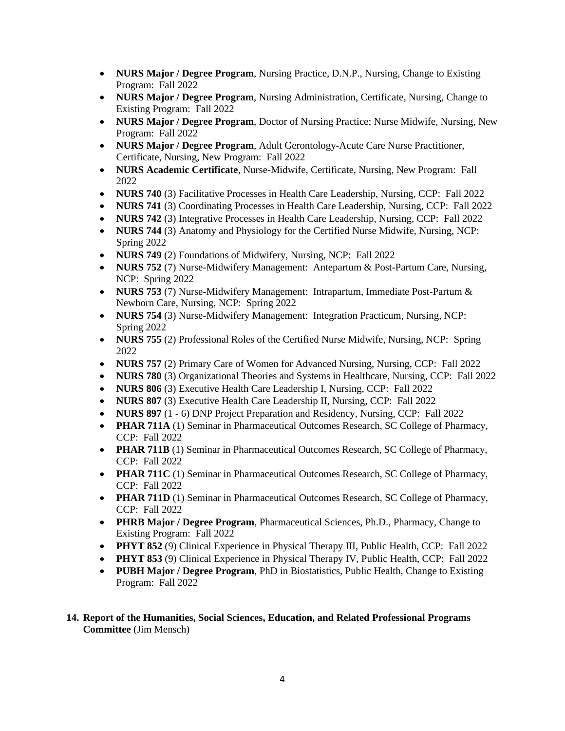- **NURS Major / Degree Program**, Nursing Practice, D.N.P., Nursing, Change to Existing Program: Fall 2022
- **NURS Major / Degree Program**, Nursing Administration, Certificate, Nursing, Change to Existing Program: Fall 2022
- **NURS Major / Degree Program**, Doctor of Nursing Practice; Nurse Midwife, Nursing, New Program: Fall 2022
- **NURS Major / Degree Program**, Adult Gerontology-Acute Care Nurse Practitioner, Certificate, Nursing, New Program: Fall 2022
- **NURS Academic Certificate**, Nurse-Midwife, Certificate, Nursing, New Program: Fall 2022
- **NURS 740** (3) Facilitative Processes in Health Care Leadership, Nursing, CCP: Fall 2022
- **NURS 741** (3) Coordinating Processes in Health Care Leadership, Nursing, CCP: Fall 2022
- **NURS 742** (3) Integrative Processes in Health Care Leadership, Nursing, CCP: Fall 2022
- **NURS 744** (3) Anatomy and Physiology for the Certified Nurse Midwife, Nursing, NCP: Spring 2022
- **NURS 749** (2) Foundations of Midwifery, Nursing, NCP: Fall 2022
- **NURS 752** (7) Nurse-Midwifery Management: Antepartum & Post-Partum Care, Nursing, NCP: Spring 2022
- **NURS 753** (7) Nurse-Midwifery Management: Intrapartum, Immediate Post-Partum & Newborn Care, Nursing, NCP: Spring 2022
- **NURS 754** (3) Nurse-Midwifery Management: Integration Practicum, Nursing, NCP: Spring 2022
- **NURS 755** (2) Professional Roles of the Certified Nurse Midwife, Nursing, NCP: Spring 2022
- **NURS 757** (2) Primary Care of Women for Advanced Nursing, Nursing, CCP: Fall 2022
- **NURS 780** (3) Organizational Theories and Systems in Healthcare, Nursing, CCP: Fall 2022
- **NURS 806** (3) Executive Health Care Leadership I, Nursing, CCP: Fall 2022
- **NURS 807** (3) Executive Health Care Leadership II, Nursing, CCP: Fall 2022
- **NURS 897** (1 6) DNP Project Preparation and Residency, Nursing, CCP: Fall 2022
- **PHAR 711A** (1) Seminar in Pharmaceutical Outcomes Research, SC College of Pharmacy, CCP: Fall 2022
- **PHAR 711B** (1) Seminar in Pharmaceutical Outcomes Research, SC College of Pharmacy, CCP: Fall 2022
- **PHAR 711C** (1) Seminar in Pharmaceutical Outcomes Research, SC College of Pharmacy, CCP: Fall 2022
- **PHAR 711D** (1) Seminar in Pharmaceutical Outcomes Research, SC College of Pharmacy, CCP: Fall 2022
- **PHRB Major / Degree Program**, Pharmaceutical Sciences, Ph.D., Pharmacy, Change to Existing Program: Fall 2022
- **PHYT 852** (9) Clinical Experience in Physical Therapy III, Public Health, CCP: Fall 2022
- **PHYT 853** (9) Clinical Experience in Physical Therapy IV, Public Health, CCP: Fall 2022
- **PUBH Major / Degree Program**, PhD in Biostatistics, Public Health, Change to Existing Program: Fall 2022
- **14. Report of the Humanities, Social Sciences, Education, and Related Professional Programs Committee** (Jim Mensch)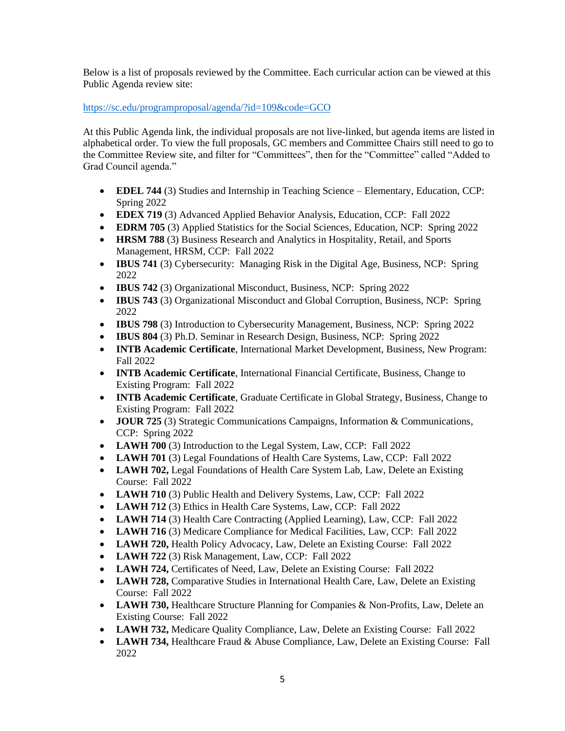Below is a list of proposals reviewed by the Committee. Each curricular action can be viewed at this Public Agenda review site:

<https://sc.edu/programproposal/agenda/?id=109&code=GCO>

At this Public Agenda link, the individual proposals are not live-linked, but agenda items are listed in alphabetical order. To view the full proposals, GC members and Committee Chairs still need to go to the Committee Review site, and filter for "Committees", then for the "Committee" called "Added to Grad Council agenda."

- **EDEL 744** (3) Studies and Internship in Teaching Science Elementary, Education, CCP: Spring 2022
- **EDEX 719** (3) Advanced Applied Behavior Analysis, Education, CCP: Fall 2022
- **EDRM 705** (3) Applied Statistics for the Social Sciences, Education, NCP: Spring 2022
- **HRSM 788** (3) Business Research and Analytics in Hospitality, Retail, and Sports Management, HRSM, CCP: Fall 2022
- **IBUS 741** (3) Cybersecurity: Managing Risk in the Digital Age, Business, NCP: Spring 2022
- **IBUS 742** (3) Organizational Misconduct, Business, NCP: Spring 2022
- **IBUS 743** (3) Organizational Misconduct and Global Corruption, Business, NCP: Spring 2022
- **IBUS 798** (3) Introduction to Cybersecurity Management, Business, NCP: Spring 2022
- **IBUS 804** (3) Ph.D. Seminar in Research Design, Business, NCP: Spring 2022
- **INTB Academic Certificate**, International Market Development, Business, New Program: Fall 2022
- **INTB Academic Certificate**, International Financial Certificate, Business, Change to Existing Program: Fall 2022
- **INTB Academic Certificate**, Graduate Certificate in Global Strategy, Business, Change to Existing Program: Fall 2022
- **JOUR 725** (3) Strategic Communications Campaigns, Information & Communications, CCP: Spring 2022
- **LAWH 700** (3) Introduction to the Legal System, Law, CCP: Fall 2022
- **LAWH 701** (3) Legal Foundations of Health Care Systems, Law, CCP: Fall 2022
- **LAWH 702,** Legal Foundations of Health Care System Lab, Law, Delete an Existing Course: Fall 2022
- **LAWH 710** (3) Public Health and Delivery Systems, Law, CCP: Fall 2022
- **LAWH 712** (3) Ethics in Health Care Systems, Law, CCP: Fall 2022
- **LAWH 714** (3) Health Care Contracting (Applied Learning), Law, CCP: Fall 2022
- LAWH 716 (3) Medicare Compliance for Medical Facilities, Law, CCP: Fall 2022
- **LAWH 720, Health Policy Advocacy, Law, Delete an Existing Course: Fall 2022**
- **LAWH 722** (3) Risk Management, Law, CCP: Fall 2022
- **LAWH 724,** Certificates of Need, Law, Delete an Existing Course: Fall 2022
- **LAWH 728,** Comparative Studies in International Health Care, Law, Delete an Existing Course: Fall 2022
- **LAWH 730, Healthcare Structure Planning for Companies & Non-Profits, Law, Delete an** Existing Course: Fall 2022
- **LAWH 732,** Medicare Quality Compliance, Law, Delete an Existing Course: Fall 2022
- LAWH 734, Healthcare Fraud & Abuse Compliance, Law, Delete an Existing Course: Fall 2022